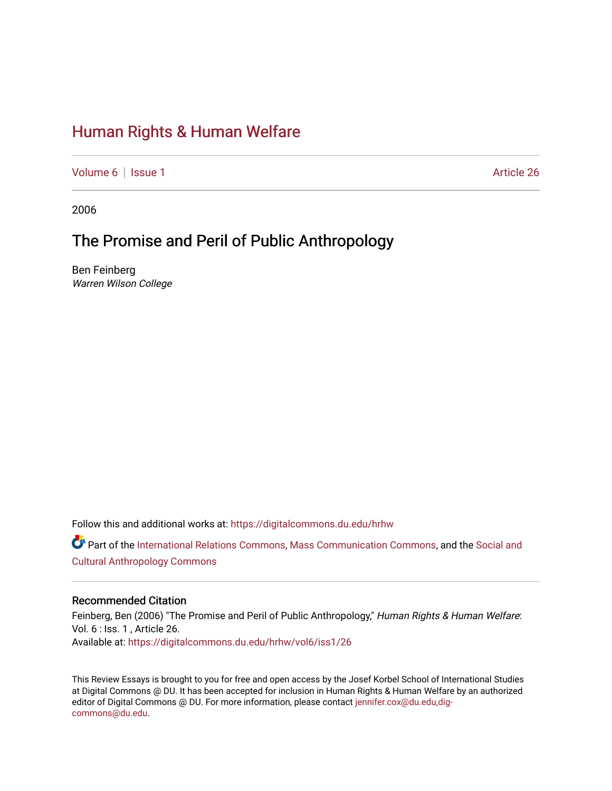# [Human Rights & Human Welfare](https://digitalcommons.du.edu/hrhw)

[Volume 6](https://digitalcommons.du.edu/hrhw/vol6) | [Issue 1](https://digitalcommons.du.edu/hrhw/vol6/iss1) Article 26

2006

## The Promise and Peril of Public Anthropology

Ben Feinberg Warren Wilson College

Follow this and additional works at: [https://digitalcommons.du.edu/hrhw](https://digitalcommons.du.edu/hrhw?utm_source=digitalcommons.du.edu%2Fhrhw%2Fvol6%2Fiss1%2F26&utm_medium=PDF&utm_campaign=PDFCoverPages)

Part of the [International Relations Commons,](http://network.bepress.com/hgg/discipline/389?utm_source=digitalcommons.du.edu%2Fhrhw%2Fvol6%2Fiss1%2F26&utm_medium=PDF&utm_campaign=PDFCoverPages) [Mass Communication Commons](http://network.bepress.com/hgg/discipline/334?utm_source=digitalcommons.du.edu%2Fhrhw%2Fvol6%2Fiss1%2F26&utm_medium=PDF&utm_campaign=PDFCoverPages), and the [Social and](http://network.bepress.com/hgg/discipline/323?utm_source=digitalcommons.du.edu%2Fhrhw%2Fvol6%2Fiss1%2F26&utm_medium=PDF&utm_campaign=PDFCoverPages)  [Cultural Anthropology Commons](http://network.bepress.com/hgg/discipline/323?utm_source=digitalcommons.du.edu%2Fhrhw%2Fvol6%2Fiss1%2F26&utm_medium=PDF&utm_campaign=PDFCoverPages) 

#### Recommended Citation

Feinberg, Ben (2006) "The Promise and Peril of Public Anthropology," Human Rights & Human Welfare: Vol. 6 : Iss. 1 , Article 26. Available at: [https://digitalcommons.du.edu/hrhw/vol6/iss1/26](https://digitalcommons.du.edu/hrhw/vol6/iss1/26?utm_source=digitalcommons.du.edu%2Fhrhw%2Fvol6%2Fiss1%2F26&utm_medium=PDF&utm_campaign=PDFCoverPages) 

This Review Essays is brought to you for free and open access by the Josef Korbel School of International Studies at Digital Commons @ DU. It has been accepted for inclusion in Human Rights & Human Welfare by an authorized editor of Digital Commons @ DU. For more information, please contact [jennifer.cox@du.edu,dig](mailto:jennifer.cox@du.edu,dig-commons@du.edu)[commons@du.edu.](mailto:jennifer.cox@du.edu,dig-commons@du.edu)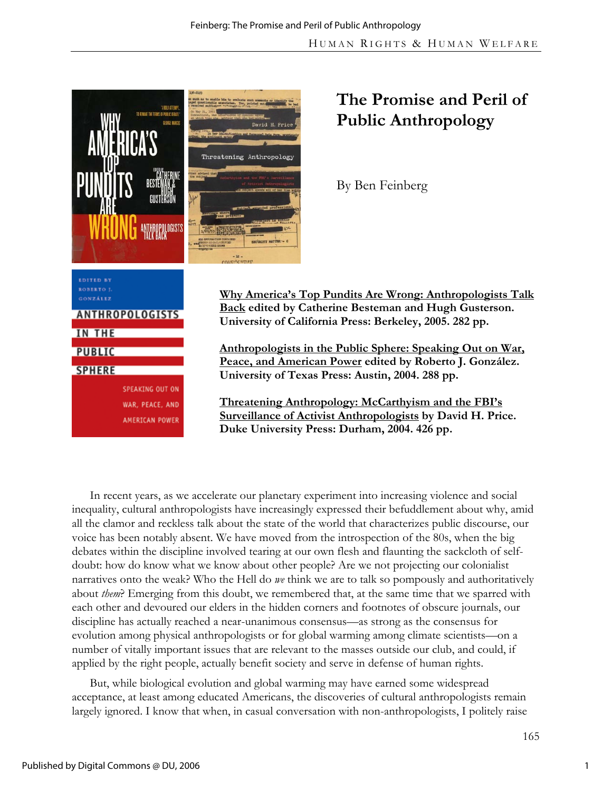



# **The Promise and Peril of Public Anthropology**

By Ben Feinberg

**Why America's Top Pundits Are Wrong: Anthropologists Talk Back edited by Catherine Besteman and Hugh Gusterson. University of California Press: Berkeley, 2005. 282 pp.** 

**Anthropologists in the Public Sphere: Speaking Out on War, Peace, and American Power edited by Roberto J. González. University of Texas Press: Austin, 2004. 288 pp.** 

**Threatening Anthropology: McCarthyism and the FBI's Surveillance of Activist Anthropologists by David H. Price. Duke University Press: Durham, 2004. 426 pp.** 

In recent years, as we accelerate our planetary experiment into increasing violence and social inequality, cultural anthropologists have increasingly expressed their befuddlement about why, amid all the clamor and reckless talk about the state of the world that characterizes public discourse, our voice has been notably absent. We have moved from the introspection of the 80s, when the big debates within the discipline involved tearing at our own flesh and flaunting the sackcloth of selfdoubt: how do know what we know about other people? Are we not projecting our colonialist narratives onto the weak? Who the Hell do *we* think we are to talk so pompously and authoritatively about *them*? Emerging from this doubt, we remembered that, at the same time that we sparred with each other and devoured our elders in the hidden corners and footnotes of obscure journals, our discipline has actually reached a near-unanimous consensus—as strong as the consensus for evolution among physical anthropologists or for global warming among climate scientists—on a number of vitally important issues that are relevant to the masses outside our club, and could, if applied by the right people, actually benefit society and serve in defense of human rights.

But, while biological evolution and global warming may have earned some widespread acceptance, at least among educated Americans, the discoveries of cultural anthropologists remain largely ignored. I know that when, in casual conversation with non-anthropologists, I politely raise

1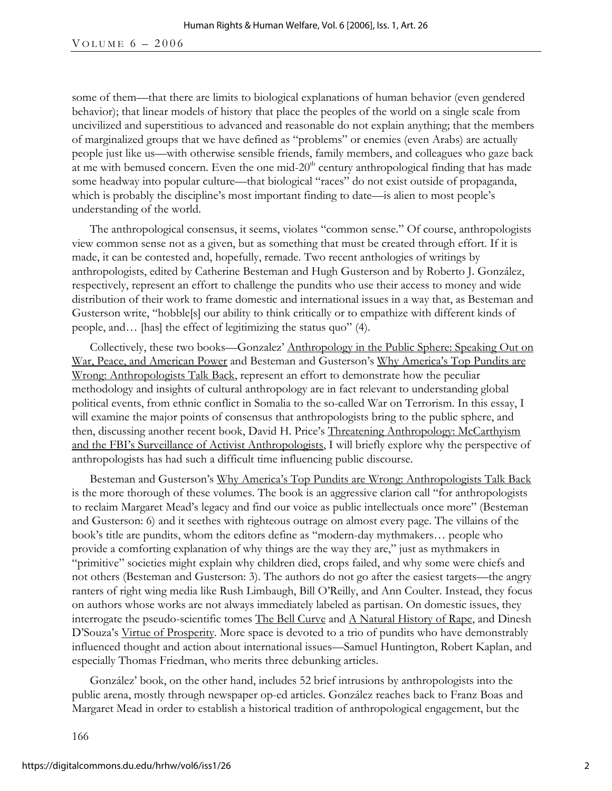some of them—that there are limits to biological explanations of human behavior (even gendered behavior); that linear models of history that place the peoples of the world on a single scale from uncivilized and superstitious to advanced and reasonable do not explain anything; that the members of marginalized groups that we have defined as "problems" or enemies (even Arabs) are actually people just like us—with otherwise sensible friends, family members, and colleagues who gaze back at me with bemused concern. Even the one mid- $20<sup>th</sup>$  century anthropological finding that has made some headway into popular culture—that biological "races" do not exist outside of propaganda, which is probably the discipline's most important finding to date—is alien to most people's understanding of the world.

The anthropological consensus, it seems, violates "common sense." Of course, anthropologists view common sense not as a given, but as something that must be created through effort. If it is made, it can be contested and, hopefully, remade. Two recent anthologies of writings by anthropologists, edited by Catherine Besteman and Hugh Gusterson and by Roberto J. González, respectively, represent an effort to challenge the pundits who use their access to money and wide distribution of their work to frame domestic and international issues in a way that, as Besteman and Gusterson write, "hobble[s] our ability to think critically or to empathize with different kinds of people, and… [has] the effect of legitimizing the status quo" (4).

Collectively, these two books—Gonzalez' Anthropology in the Public Sphere: Speaking Out on War, Peace, and American Power and Besteman and Gusterson's Why America's Top Pundits are Wrong: Anthropologists Talk Back, represent an effort to demonstrate how the peculiar methodology and insights of cultural anthropology are in fact relevant to understanding global political events, from ethnic conflict in Somalia to the so-called War on Terrorism. In this essay, I will examine the major points of consensus that anthropologists bring to the public sphere, and then, discussing another recent book, David H. Price's Threatening Anthropology: McCarthyism and the FBI's Surveillance of Activist Anthropologists, I will briefly explore why the perspective of anthropologists has had such a difficult time influencing public discourse.

Besteman and Gusterson's Why America's Top Pundits are Wrong: Anthropologists Talk Back is the more thorough of these volumes. The book is an aggressive clarion call "for anthropologists to reclaim Margaret Mead's legacy and find our voice as public intellectuals once more" (Besteman and Gusterson: 6) and it seethes with righteous outrage on almost every page. The villains of the book's title are pundits, whom the editors define as "modern-day mythmakers… people who provide a comforting explanation of why things are the way they are," just as mythmakers in "primitive" societies might explain why children died, crops failed, and why some were chiefs and not others (Besteman and Gusterson: 3). The authors do not go after the easiest targets—the angry ranters of right wing media like Rush Limbaugh, Bill O'Reilly, and Ann Coulter. Instead, they focus on authors whose works are not always immediately labeled as partisan. On domestic issues, they interrogate the pseudo-scientific tomes The Bell Curve and  $\triangle$  Natural History of Rape, and Dinesh D'Souza's Virtue of Prosperity*.* More space is devoted to a trio of pundits who have demonstrably influenced thought and action about international issues—Samuel Huntington, Robert Kaplan, and especially Thomas Friedman, who merits three debunking articles.

González' book, on the other hand, includes 52 brief intrusions by anthropologists into the public arena, mostly through newspaper op-ed articles. González reaches back to Franz Boas and Margaret Mead in order to establish a historical tradition of anthropological engagement, but the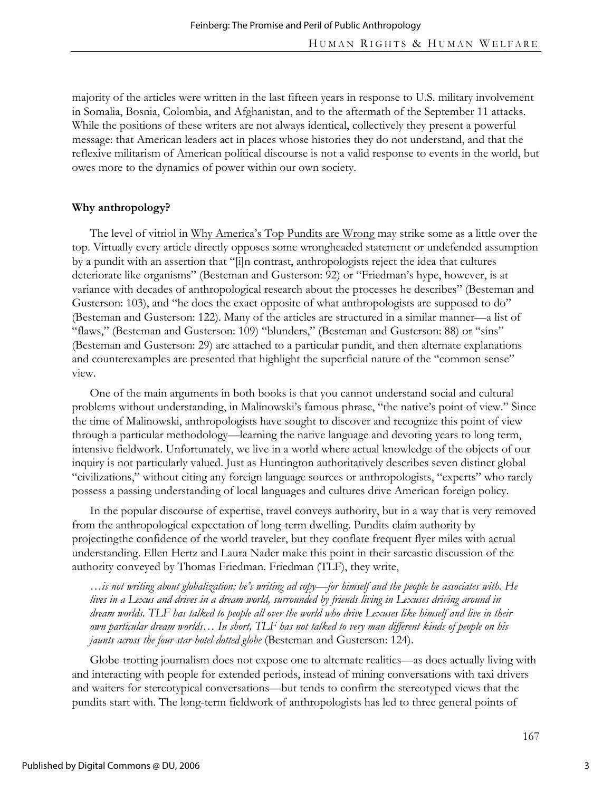majority of the articles were written in the last fifteen years in response to U.S. military involvement in Somalia, Bosnia, Colombia, and Afghanistan, and to the aftermath of the September 11 attacks. While the positions of these writers are not always identical, collectively they present a powerful message: that American leaders act in places whose histories they do not understand, and that the reflexive militarism of American political discourse is not a valid response to events in the world, but owes more to the dynamics of power within our own society.

## **Why anthropology?**

The level of vitriol in Why America's Top Pundits are Wrong may strike some as a little over the top. Virtually every article directly opposes some wrongheaded statement or undefended assumption by a pundit with an assertion that "[i]n contrast, anthropologists reject the idea that cultures deteriorate like organisms" (Besteman and Gusterson: 92) or "Friedman's hype, however, is at variance with decades of anthropological research about the processes he describes" (Besteman and Gusterson: 103), and "he does the exact opposite of what anthropologists are supposed to do" (Besteman and Gusterson: 122). Many of the articles are structured in a similar manner—a list of "flaws," (Besteman and Gusterson: 109) "blunders," (Besteman and Gusterson: 88) or "sins" (Besteman and Gusterson: 29) are attached to a particular pundit, and then alternate explanations and counterexamples are presented that highlight the superficial nature of the "common sense" view.

One of the main arguments in both books is that you cannot understand social and cultural problems without understanding, in Malinowski's famous phrase, "the native's point of view." Since the time of Malinowski, anthropologists have sought to discover and recognize this point of view through a particular methodology—learning the native language and devoting years to long term, intensive fieldwork. Unfortunately, we live in a world where actual knowledge of the objects of our inquiry is not particularly valued. Just as Huntington authoritatively describes seven distinct global "civilizations," without citing any foreign language sources or anthropologists, "experts" who rarely possess a passing understanding of local languages and cultures drive American foreign policy.

In the popular discourse of expertise, travel conveys authority, but in a way that is very removed from the anthropological expectation of long-term dwelling. Pundits claim authority by projectingthe confidence of the world traveler, but they conflate frequent flyer miles with actual understanding. Ellen Hertz and Laura Nader make this point in their sarcastic discussion of the authority conveyed by Thomas Friedman. Friedman (TLF), they write,

*…is not writing about globalization; he's writing ad copy—for himself and the people he associates with. He lives in a Lexus and drives in a dream world, surrounded by friends living in Lexuses driving around in dream worlds. TLF has talked to people all over the world who drive Lexuses like himself and live in their own particular dream worlds… In short, TLF has not talked to very man different kinds of people on his jaunts across the four-star-hotel-dotted globe* (Besteman and Gusterson: 124).

Globe-trotting journalism does not expose one to alternate realities—as does actually living with and interacting with people for extended periods, instead of mining conversations with taxi drivers and waiters for stereotypical conversations—but tends to confirm the stereotyped views that the pundits start with. The long-term fieldwork of anthropologists has led to three general points of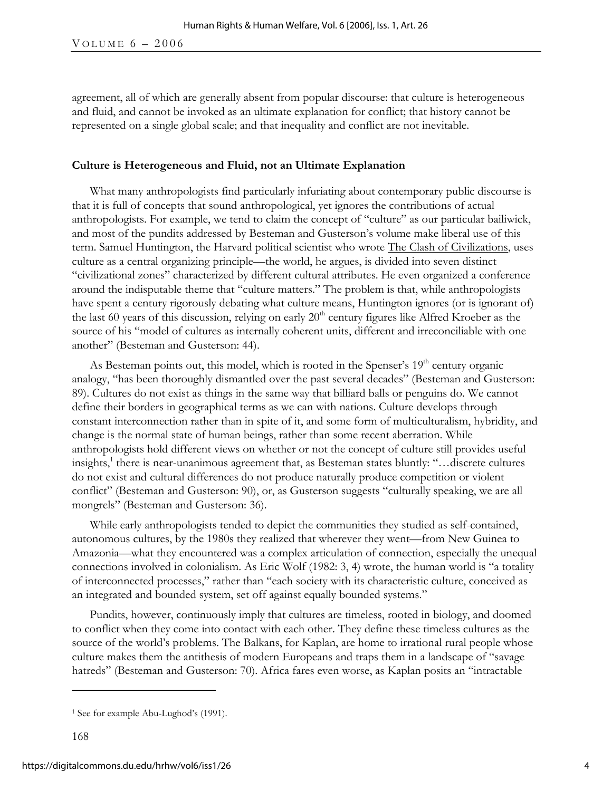agreement, all of which are generally absent from popular discourse: that culture is heterogeneous and fluid, and cannot be invoked as an ultimate explanation for conflict; that history cannot be represented on a single global scale; and that inequality and conflict are not inevitable.

#### **Culture is Heterogeneous and Fluid, not an Ultimate Explanation**

What many anthropologists find particularly infuriating about contemporary public discourse is that it is full of concepts that sound anthropological, yet ignores the contributions of actual anthropologists. For example, we tend to claim the concept of "culture" as our particular bailiwick, and most of the pundits addressed by Besteman and Gusterson's volume make liberal use of this term. Samuel Huntington, the Harvard political scientist who wrote The Clash of Civilizations, uses culture as a central organizing principle—the world, he argues, is divided into seven distinct "civilizational zones" characterized by different cultural attributes. He even organized a conference around the indisputable theme that "culture matters." The problem is that, while anthropologists have spent a century rigorously debating what culture means, Huntington ignores (or is ignorant of) the last 60 years of this discussion, relying on early  $20<sup>th</sup>$  century figures like Alfred Kroeber as the source of his "model of cultures as internally coherent units, different and irreconciliable with one another" (Besteman and Gusterson: 44).

As Besteman points out, this model, which is rooted in the Spenser's  $19<sup>th</sup>$  century organic analogy, "has been thoroughly dismantled over the past several decades" (Besteman and Gusterson: 89). Cultures do not exist as things in the same way that billiard balls or penguins do. We cannot define their borders in geographical terms as we can with nations. Culture develops through constant interconnection rather than in spite of it, and some form of multiculturalism, hybridity, and change is the normal state of human beings, rather than some recent aberration. While anthropologists hold different views on whether or not the concept of culture still provides useful insights,<sup>1</sup> there is near-unanimous agreement that, as Besteman states bluntly: "...discrete cultures do not exist and cultural differences do not produce naturally produce competition or violent conflict" (Besteman and Gusterson: 90), or, as Gusterson suggests "culturally speaking, we are all mongrels" (Besteman and Gusterson: 36).

While early anthropologists tended to depict the communities they studied as self-contained, autonomous cultures, by the 1980s they realized that wherever they went—from New Guinea to Amazonia—what they encountered was a complex articulation of connection, especially the unequal connections involved in colonialism. As Eric Wolf (1982: 3, 4) wrote, the human world is "a totality of interconnected processes," rather than "each society with its characteristic culture, conceived as an integrated and bounded system, set off against equally bounded systems."

Pundits, however, continuously imply that cultures are timeless, rooted in biology, and doomed to conflict when they come into contact with each other. They define these timeless cultures as the source of the world's problems. The Balkans, for Kaplan, are home to irrational rural people whose culture makes them the antithesis of modern Europeans and traps them in a landscape of "savage hatreds" (Besteman and Gusterson: 70). Africa fares even worse, as Kaplan posits an "intractable

 $\overline{a}$ 

<sup>&</sup>lt;sup>1</sup> See for example Abu-Lughod's (1991).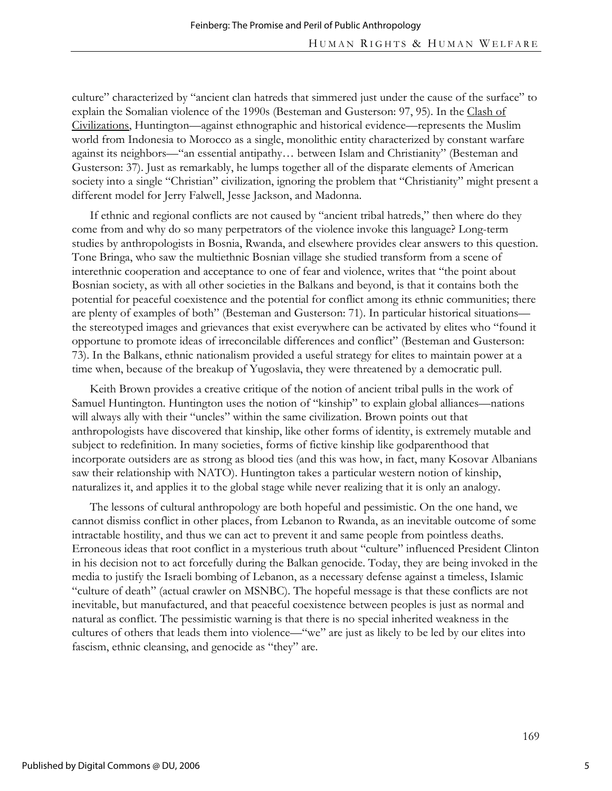culture" characterized by "ancient clan hatreds that simmered just under the cause of the surface" to explain the Somalian violence of the 1990s (Besteman and Gusterson: 97, 95). In the Clash of Civilizations, Huntington—against ethnographic and historical evidence—represents the Muslim world from Indonesia to Morocco as a single, monolithic entity characterized by constant warfare against its neighbors—"an essential antipathy… between Islam and Christianity" (Besteman and Gusterson: 37). Just as remarkably, he lumps together all of the disparate elements of American society into a single "Christian" civilization, ignoring the problem that "Christianity" might present a different model for Jerry Falwell, Jesse Jackson, and Madonna.

If ethnic and regional conflicts are not caused by "ancient tribal hatreds," then where do they come from and why do so many perpetrators of the violence invoke this language? Long-term studies by anthropologists in Bosnia, Rwanda, and elsewhere provides clear answers to this question. Tone Bringa, who saw the multiethnic Bosnian village she studied transform from a scene of interethnic cooperation and acceptance to one of fear and violence, writes that "the point about Bosnian society, as with all other societies in the Balkans and beyond, is that it contains both the potential for peaceful coexistence and the potential for conflict among its ethnic communities; there are plenty of examples of both" (Besteman and Gusterson: 71). In particular historical situations the stereotyped images and grievances that exist everywhere can be activated by elites who "found it opportune to promote ideas of irreconcilable differences and conflict" (Besteman and Gusterson: 73). In the Balkans, ethnic nationalism provided a useful strategy for elites to maintain power at a time when, because of the breakup of Yugoslavia, they were threatened by a democratic pull.

Keith Brown provides a creative critique of the notion of ancient tribal pulls in the work of Samuel Huntington. Huntington uses the notion of "kinship" to explain global alliances—nations will always ally with their "uncles" within the same civilization. Brown points out that anthropologists have discovered that kinship, like other forms of identity, is extremely mutable and subject to redefinition. In many societies, forms of fictive kinship like godparenthood that incorporate outsiders are as strong as blood ties (and this was how, in fact, many Kosovar Albanians saw their relationship with NATO). Huntington takes a particular western notion of kinship, naturalizes it, and applies it to the global stage while never realizing that it is only an analogy.

The lessons of cultural anthropology are both hopeful and pessimistic. On the one hand, we cannot dismiss conflict in other places, from Lebanon to Rwanda, as an inevitable outcome of some intractable hostility, and thus we can act to prevent it and same people from pointless deaths. Erroneous ideas that root conflict in a mysterious truth about "culture" influenced President Clinton in his decision not to act forcefully during the Balkan genocide. Today, they are being invoked in the media to justify the Israeli bombing of Lebanon, as a necessary defense against a timeless, Islamic "culture of death" (actual crawler on MSNBC). The hopeful message is that these conflicts are not inevitable, but manufactured, and that peaceful coexistence between peoples is just as normal and natural as conflict. The pessimistic warning is that there is no special inherited weakness in the cultures of others that leads them into violence—"we" are just as likely to be led by our elites into fascism, ethnic cleansing, and genocide as "they" are.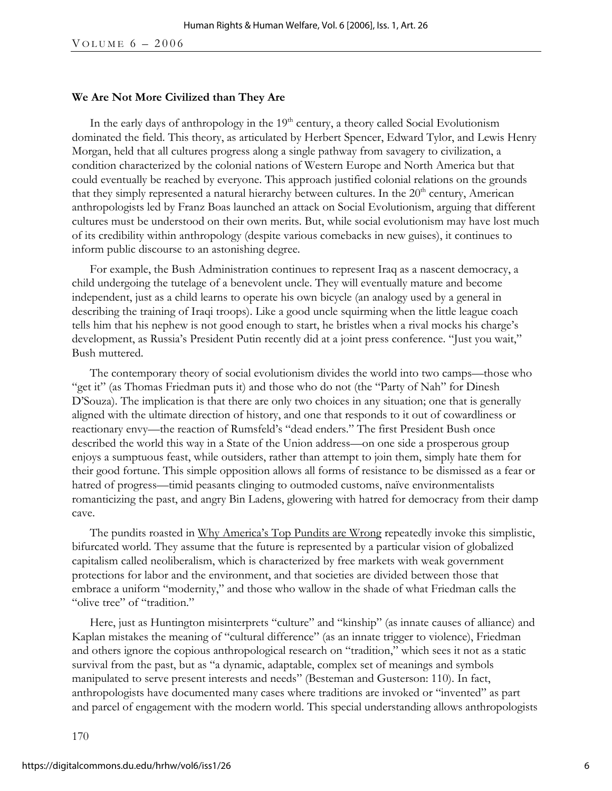#### **We Are Not More Civilized than They Are**

In the early days of anthropology in the  $19<sup>th</sup>$  century, a theory called Social Evolutionism dominated the field. This theory, as articulated by Herbert Spencer, Edward Tylor, and Lewis Henry Morgan, held that all cultures progress along a single pathway from savagery to civilization, a condition characterized by the colonial nations of Western Europe and North America but that could eventually be reached by everyone. This approach justified colonial relations on the grounds that they simply represented a natural hierarchy between cultures. In the  $20<sup>th</sup>$  century, American anthropologists led by Franz Boas launched an attack on Social Evolutionism, arguing that different cultures must be understood on their own merits. But, while social evolutionism may have lost much of its credibility within anthropology (despite various comebacks in new guises), it continues to inform public discourse to an astonishing degree.

For example, the Bush Administration continues to represent Iraq as a nascent democracy, a child undergoing the tutelage of a benevolent uncle. They will eventually mature and become independent, just as a child learns to operate his own bicycle (an analogy used by a general in describing the training of Iraqi troops). Like a good uncle squirming when the little league coach tells him that his nephew is not good enough to start, he bristles when a rival mocks his charge's development, as Russia's President Putin recently did at a joint press conference. "Just you wait," Bush muttered.

The contemporary theory of social evolutionism divides the world into two camps—those who "get it" (as Thomas Friedman puts it) and those who do not (the "Party of Nah" for Dinesh D'Souza). The implication is that there are only two choices in any situation; one that is generally aligned with the ultimate direction of history, and one that responds to it out of cowardliness or reactionary envy—the reaction of Rumsfeld's "dead enders." The first President Bush once described the world this way in a State of the Union address—on one side a prosperous group enjoys a sumptuous feast, while outsiders, rather than attempt to join them, simply hate them for their good fortune. This simple opposition allows all forms of resistance to be dismissed as a fear or hatred of progress—timid peasants clinging to outmoded customs, naïve environmentalists romanticizing the past, and angry Bin Ladens, glowering with hatred for democracy from their damp cave.

The pundits roasted in Why America's Top Pundits are Wrong repeatedly invoke this simplistic, bifurcated world. They assume that the future is represented by a particular vision of globalized capitalism called neoliberalism, which is characterized by free markets with weak government protections for labor and the environment, and that societies are divided between those that embrace a uniform "modernity," and those who wallow in the shade of what Friedman calls the "olive tree" of "tradition."

Here, just as Huntington misinterprets "culture" and "kinship" (as innate causes of alliance) and Kaplan mistakes the meaning of "cultural difference" (as an innate trigger to violence), Friedman and others ignore the copious anthropological research on "tradition," which sees it not as a static survival from the past, but as "a dynamic, adaptable, complex set of meanings and symbols manipulated to serve present interests and needs" (Besteman and Gusterson: 110). In fact, anthropologists have documented many cases where traditions are invoked or "invented" as part and parcel of engagement with the modern world. This special understanding allows anthropologists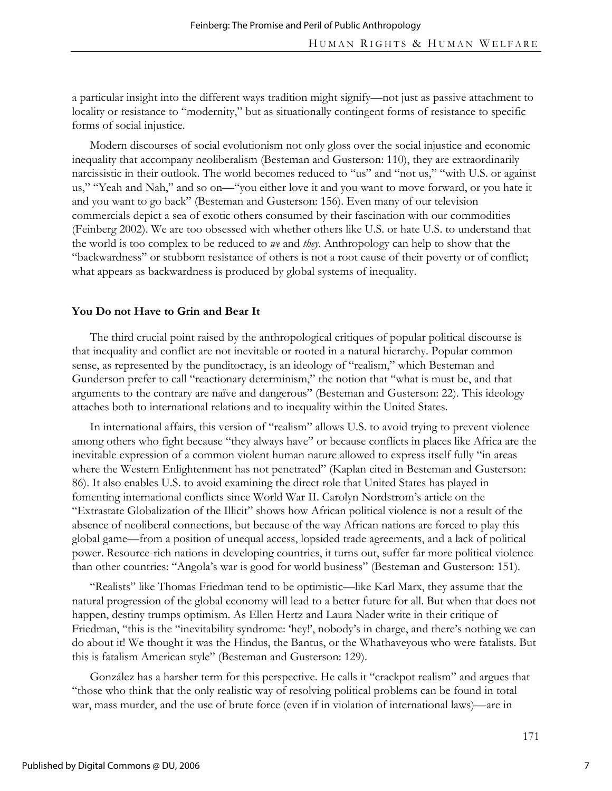a particular insight into the different ways tradition might signify—not just as passive attachment to locality or resistance to "modernity," but as situationally contingent forms of resistance to specific forms of social injustice.

Modern discourses of social evolutionism not only gloss over the social injustice and economic inequality that accompany neoliberalism (Besteman and Gusterson: 110), they are extraordinarily narcissistic in their outlook. The world becomes reduced to "us" and "not us," "with U.S. or against us," "Yeah and Nah," and so on—"you either love it and you want to move forward, or you hate it and you want to go back" (Besteman and Gusterson: 156). Even many of our television commercials depict a sea of exotic others consumed by their fascination with our commodities (Feinberg 2002). We are too obsessed with whether others like U.S. or hate U.S. to understand that the world is too complex to be reduced to *we* and *they*. Anthropology can help to show that the "backwardness" or stubborn resistance of others is not a root cause of their poverty or of conflict; what appears as backwardness is produced by global systems of inequality.

#### **You Do not Have to Grin and Bear It**

The third crucial point raised by the anthropological critiques of popular political discourse is that inequality and conflict are not inevitable or rooted in a natural hierarchy. Popular common sense, as represented by the punditocracy, is an ideology of "realism," which Besteman and Gunderson prefer to call "reactionary determinism," the notion that "what is must be, and that arguments to the contrary are naïve and dangerous" (Besteman and Gusterson: 22). This ideology attaches both to international relations and to inequality within the United States.

In international affairs, this version of "realism" allows U.S. to avoid trying to prevent violence among others who fight because "they always have" or because conflicts in places like Africa are the inevitable expression of a common violent human nature allowed to express itself fully "in areas where the Western Enlightenment has not penetrated" (Kaplan cited in Besteman and Gusterson: 86). It also enables U.S. to avoid examining the direct role that United States has played in fomenting international conflicts since World War II. Carolyn Nordstrom's article on the "Extrastate Globalization of the Illicit" shows how African political violence is not a result of the absence of neoliberal connections, but because of the way African nations are forced to play this global game—from a position of unequal access, lopsided trade agreements, and a lack of political power. Resource-rich nations in developing countries, it turns out, suffer far more political violence than other countries: "Angola's war is good for world business" (Besteman and Gusterson: 151).

"Realists" like Thomas Friedman tend to be optimistic—like Karl Marx, they assume that the natural progression of the global economy will lead to a better future for all. But when that does not happen, destiny trumps optimism. As Ellen Hertz and Laura Nader write in their critique of Friedman, "this is the "inevitability syndrome: 'hey!', nobody's in charge, and there's nothing we can do about it! We thought it was the Hindus, the Bantus, or the Whathaveyous who were fatalists. But this is fatalism American style" (Besteman and Gusterson: 129).

González has a harsher term for this perspective. He calls it "crackpot realism" and argues that "those who think that the only realistic way of resolving political problems can be found in total war, mass murder, and the use of brute force (even if in violation of international laws)—are in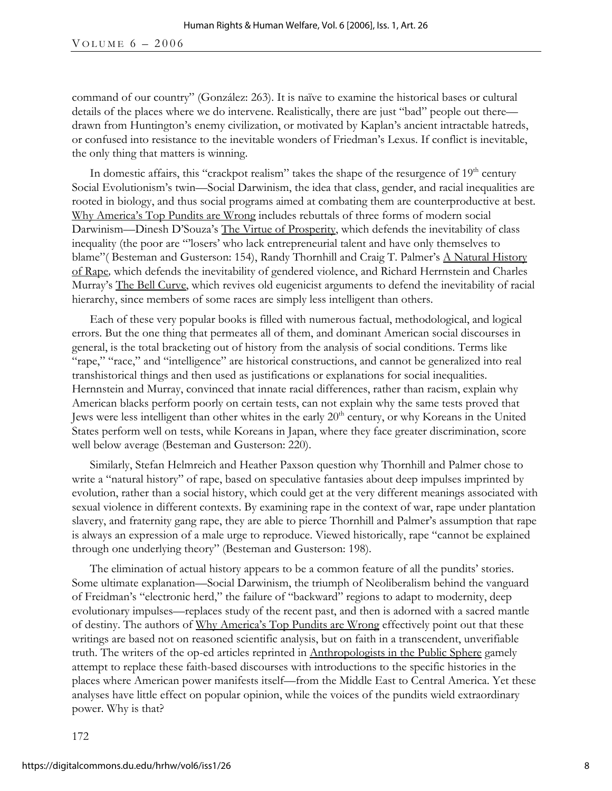VOLUME  $6 - 2006$ 

command of our country" (González: 263). It is naïve to examine the historical bases or cultural details of the places where we do intervene. Realistically, there are just "bad" people out there drawn from Huntington's enemy civilization, or motivated by Kaplan's ancient intractable hatreds, or confused into resistance to the inevitable wonders of Friedman's Lexus. If conflict is inevitable, the only thing that matters is winning.

In domestic affairs, this "crackpot realism" takes the shape of the resurgence of  $19<sup>th</sup>$  century Social Evolutionism's twin—Social Darwinism, the idea that class, gender, and racial inequalities are rooted in biology, and thus social programs aimed at combating them are counterproductive at best. Why America's Top Pundits are Wrong includes rebuttals of three forms of modern social Darwinism—Dinesh D'Souza's The Virtue of Prosperity, which defends the inevitability of class inequality (the poor are "'losers' who lack entrepreneurial talent and have only themselves to blame" (Besteman and Gusterson: 154), Randy Thornhill and Craig T. Palmer's A Natural History of Rape*,* which defends the inevitability of gendered violence, and Richard Herrnstein and Charles Murray's The Bell Curve, which revives old eugenicist arguments to defend the inevitability of racial hierarchy, since members of some races are simply less intelligent than others.

Each of these very popular books is filled with numerous factual, methodological, and logical errors. But the one thing that permeates all of them, and dominant American social discourses in general, is the total bracketing out of history from the analysis of social conditions. Terms like "rape," "race," and "intelligence" are historical constructions, and cannot be generalized into real transhistorical things and then used as justifications or explanations for social inequalities. Hernnstein and Murray, convinced that innate racial differences, rather than racism, explain why American blacks perform poorly on certain tests, can not explain why the same tests proved that Jews were less intelligent than other whites in the early 20<sup>th</sup> century, or why Koreans in the United States perform well on tests, while Koreans in Japan, where they face greater discrimination, score well below average (Besteman and Gusterson: 220).

Similarly, Stefan Helmreich and Heather Paxson question why Thornhill and Palmer chose to write a "natural history" of rape, based on speculative fantasies about deep impulses imprinted by evolution, rather than a social history, which could get at the very different meanings associated with sexual violence in different contexts. By examining rape in the context of war, rape under plantation slavery, and fraternity gang rape, they are able to pierce Thornhill and Palmer's assumption that rape is always an expression of a male urge to reproduce. Viewed historically, rape "cannot be explained through one underlying theory" (Besteman and Gusterson: 198).

The elimination of actual history appears to be a common feature of all the pundits' stories. Some ultimate explanation—Social Darwinism, the triumph of Neoliberalism behind the vanguard of Freidman's "electronic herd," the failure of "backward" regions to adapt to modernity, deep evolutionary impulses—replaces study of the recent past, and then is adorned with a sacred mantle of destiny. The authors of Why America's Top Pundits are Wrong effectively point out that these writings are based not on reasoned scientific analysis, but on faith in a transcendent, unverifiable truth. The writers of the op-ed articles reprinted in Anthropologists in the Public Sphere gamely attempt to replace these faith-based discourses with introductions to the specific histories in the places where American power manifests itself—from the Middle East to Central America. Yet these analyses have little effect on popular opinion, while the voices of the pundits wield extraordinary power. Why is that?

172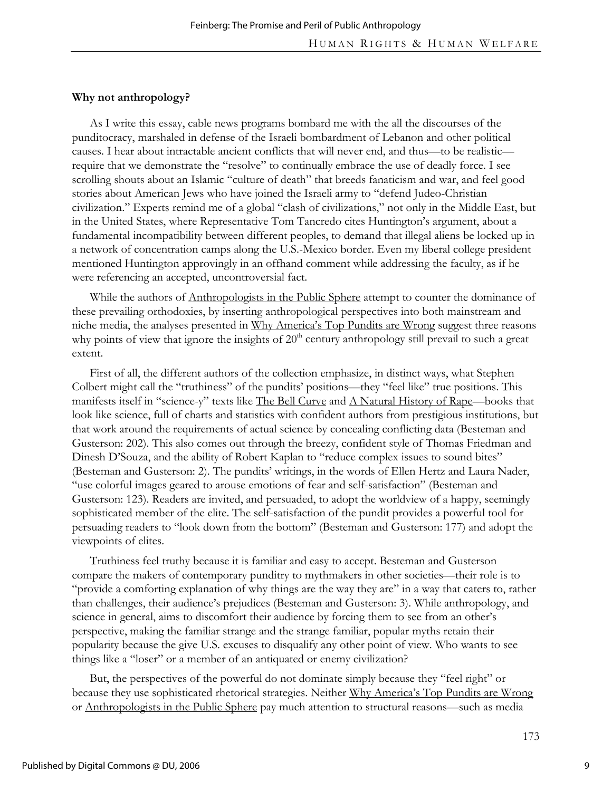#### **Why not anthropology?**

As I write this essay, cable news programs bombard me with the all the discourses of the punditocracy, marshaled in defense of the Israeli bombardment of Lebanon and other political causes. I hear about intractable ancient conflicts that will never end, and thus—to be realistic require that we demonstrate the "resolve" to continually embrace the use of deadly force. I see scrolling shouts about an Islamic "culture of death" that breeds fanaticism and war, and feel good stories about American Jews who have joined the Israeli army to "defend Judeo-Christian civilization." Experts remind me of a global "clash of civilizations," not only in the Middle East, but in the United States, where Representative Tom Tancredo cites Huntington's argument, about a fundamental incompatibility between different peoples, to demand that illegal aliens be locked up in a network of concentration camps along the U.S.-Mexico border. Even my liberal college president mentioned Huntington approvingly in an offhand comment while addressing the faculty, as if he were referencing an accepted, uncontroversial fact.

While the authors of Anthropologists in the Public Sphere attempt to counter the dominance of these prevailing orthodoxies, by inserting anthropological perspectives into both mainstream and niche media, the analyses presented in Why America's Top Pundits are Wrong suggest three reasons why points of view that ignore the insights of  $20<sup>th</sup>$  century anthropology still prevail to such a great extent.

First of all, the different authors of the collection emphasize, in distinct ways, what Stephen Colbert might call the "truthiness" of the pundits' positions—they "feel like" true positions. This manifests itself in "science-y" texts like The Bell Curve and A Natural History of Rape—books that look like science, full of charts and statistics with confident authors from prestigious institutions, but that work around the requirements of actual science by concealing conflicting data (Besteman and Gusterson: 202). This also comes out through the breezy, confident style of Thomas Friedman and Dinesh D'Souza, and the ability of Robert Kaplan to "reduce complex issues to sound bites" (Besteman and Gusterson: 2). The pundits' writings, in the words of Ellen Hertz and Laura Nader, "use colorful images geared to arouse emotions of fear and self-satisfaction" (Besteman and Gusterson: 123). Readers are invited, and persuaded, to adopt the worldview of a happy, seemingly sophisticated member of the elite. The self-satisfaction of the pundit provides a powerful tool for persuading readers to "look down from the bottom" (Besteman and Gusterson: 177) and adopt the viewpoints of elites.

Truthiness feel truthy because it is familiar and easy to accept. Besteman and Gusterson compare the makers of contemporary punditry to mythmakers in other societies—their role is to "provide a comforting explanation of why things are the way they are" in a way that caters to, rather than challenges, their audience's prejudices (Besteman and Gusterson: 3). While anthropology, and science in general, aims to discomfort their audience by forcing them to see from an other's perspective, making the familiar strange and the strange familiar, popular myths retain their popularity because the give U.S. excuses to disqualify any other point of view. Who wants to see things like a "loser" or a member of an antiquated or enemy civilization?

But, the perspectives of the powerful do not dominate simply because they "feel right" or because they use sophisticated rhetorical strategies. Neither Why America's Top Pundits are Wrong or Anthropologists in the Public Sphere pay much attention to structural reasons—such as media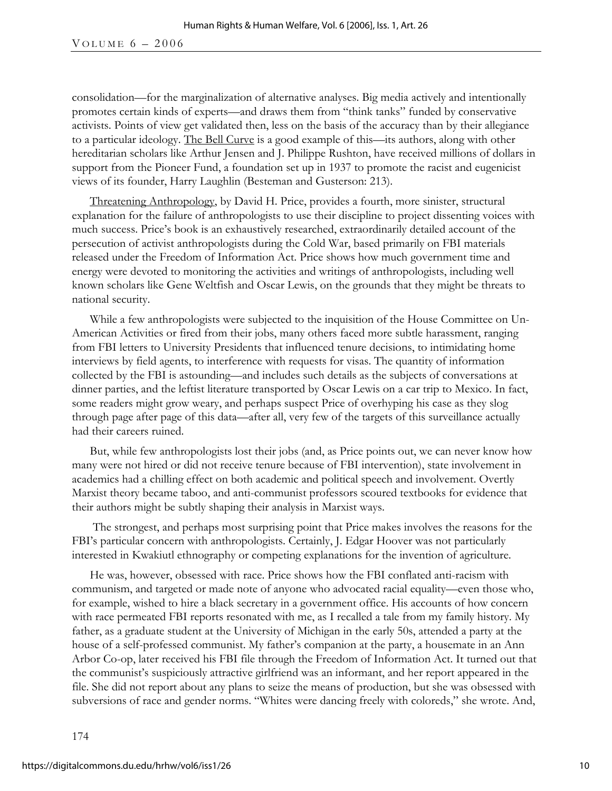VOLUME  $6 - 2006$ 

consolidation—for the marginalization of alternative analyses. Big media actively and intentionally promotes certain kinds of experts—and draws them from "think tanks" funded by conservative activists. Points of view get validated then, less on the basis of the accuracy than by their allegiance to a particular ideology. The Bell Curve is a good example of this—its authors, along with other hereditarian scholars like Arthur Jensen and J. Philippe Rushton, have received millions of dollars in support from the Pioneer Fund, a foundation set up in 1937 to promote the racist and eugenicist views of its founder, Harry Laughlin (Besteman and Gusterson: 213).

Threatening Anthropology, by David H. Price, provides a fourth, more sinister, structural explanation for the failure of anthropologists to use their discipline to project dissenting voices with much success. Price's book is an exhaustively researched, extraordinarily detailed account of the persecution of activist anthropologists during the Cold War, based primarily on FBI materials released under the Freedom of Information Act. Price shows how much government time and energy were devoted to monitoring the activities and writings of anthropologists, including well known scholars like Gene Weltfish and Oscar Lewis, on the grounds that they might be threats to national security.

While a few anthropologists were subjected to the inquisition of the House Committee on Un-American Activities or fired from their jobs, many others faced more subtle harassment, ranging from FBI letters to University Presidents that influenced tenure decisions, to intimidating home interviews by field agents, to interference with requests for visas. The quantity of information collected by the FBI is astounding—and includes such details as the subjects of conversations at dinner parties, and the leftist literature transported by Oscar Lewis on a car trip to Mexico. In fact, some readers might grow weary, and perhaps suspect Price of overhyping his case as they slog through page after page of this data—after all, very few of the targets of this surveillance actually had their careers ruined.

But, while few anthropologists lost their jobs (and, as Price points out, we can never know how many were not hired or did not receive tenure because of FBI intervention), state involvement in academics had a chilling effect on both academic and political speech and involvement. Overtly Marxist theory became taboo, and anti-communist professors scoured textbooks for evidence that their authors might be subtly shaping their analysis in Marxist ways.

 The strongest, and perhaps most surprising point that Price makes involves the reasons for the FBI's particular concern with anthropologists. Certainly, J. Edgar Hoover was not particularly interested in Kwakiutl ethnography or competing explanations for the invention of agriculture.

He was, however, obsessed with race. Price shows how the FBI conflated anti-racism with communism, and targeted or made note of anyone who advocated racial equality—even those who, for example, wished to hire a black secretary in a government office. His accounts of how concern with race permeated FBI reports resonated with me, as I recalled a tale from my family history. My father, as a graduate student at the University of Michigan in the early 50s, attended a party at the house of a self-professed communist. My father's companion at the party, a housemate in an Ann Arbor Co-op, later received his FBI file through the Freedom of Information Act. It turned out that the communist's suspiciously attractive girlfriend was an informant, and her report appeared in the file. She did not report about any plans to seize the means of production, but she was obsessed with subversions of race and gender norms. "Whites were dancing freely with coloreds," she wrote. And,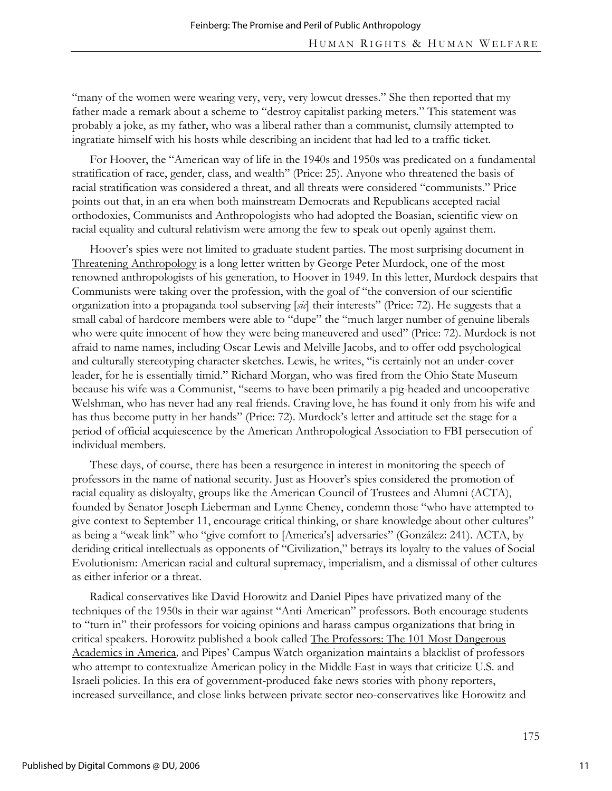"many of the women were wearing very, very, very lowcut dresses." She then reported that my father made a remark about a scheme to "destroy capitalist parking meters." This statement was probably a joke, as my father, who was a liberal rather than a communist, clumsily attempted to ingratiate himself with his hosts while describing an incident that had led to a traffic ticket.

For Hoover, the "American way of life in the 1940s and 1950s was predicated on a fundamental stratification of race, gender, class, and wealth" (Price: 25). Anyone who threatened the basis of racial stratification was considered a threat, and all threats were considered "communists." Price points out that, in an era when both mainstream Democrats and Republicans accepted racial orthodoxies, Communists and Anthropologists who had adopted the Boasian, scientific view on racial equality and cultural relativism were among the few to speak out openly against them.

Hoover's spies were not limited to graduate student parties. The most surprising document in Threatening Anthropology is a long letter written by George Peter Murdock, one of the most renowned anthropologists of his generation, to Hoover in 1949. In this letter, Murdock despairs that Communists were taking over the profession, with the goal of "the conversion of our scientific organization into a propaganda tool subserving [*sic*] their interests" (Price: 72). He suggests that a small cabal of hardcore members were able to "dupe" the "much larger number of genuine liberals who were quite innocent of how they were being maneuvered and used" (Price: 72). Murdock is not afraid to name names, including Oscar Lewis and Melville Jacobs, and to offer odd psychological and culturally stereotyping character sketches. Lewis, he writes, "is certainly not an under-cover leader, for he is essentially timid." Richard Morgan, who was fired from the Ohio State Museum because his wife was a Communist, "seems to have been primarily a pig-headed and uncooperative Welshman, who has never had any real friends. Craving love, he has found it only from his wife and has thus become putty in her hands" (Price: 72). Murdock's letter and attitude set the stage for a period of official acquiescence by the American Anthropological Association to FBI persecution of individual members.

These days, of course, there has been a resurgence in interest in monitoring the speech of professors in the name of national security. Just as Hoover's spies considered the promotion of racial equality as disloyalty, groups like the American Council of Trustees and Alumni (ACTA), founded by Senator Joseph Lieberman and Lynne Cheney, condemn those "who have attempted to give context to September 11, encourage critical thinking, or share knowledge about other cultures" as being a "weak link" who "give comfort to [America's] adversaries" (González: 241). ACTA, by deriding critical intellectuals as opponents of "Civilization," betrays its loyalty to the values of Social Evolutionism: American racial and cultural supremacy, imperialism, and a dismissal of other cultures as either inferior or a threat.

Radical conservatives like David Horowitz and Daniel Pipes have privatized many of the techniques of the 1950s in their war against "Anti-American" professors. Both encourage students to "turn in" their professors for voicing opinions and harass campus organizations that bring in critical speakers. Horowitz published a book called The Professors: The 101 Most Dangerous Academics in America*,* and Pipes' Campus Watch organization maintains a blacklist of professors who attempt to contextualize American policy in the Middle East in ways that criticize U.S. and Israeli policies. In this era of government-produced fake news stories with phony reporters, increased surveillance, and close links between private sector neo-conservatives like Horowitz and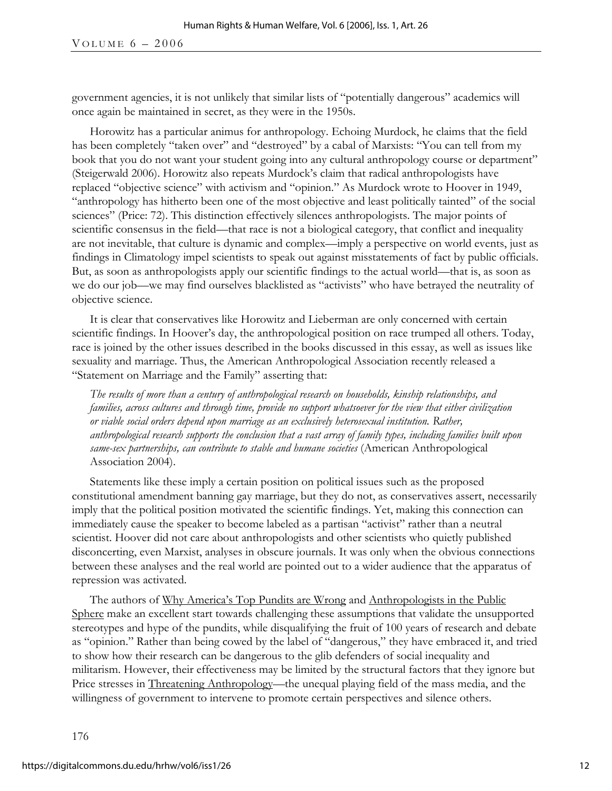government agencies, it is not unlikely that similar lists of "potentially dangerous" academics will once again be maintained in secret, as they were in the 1950s.

Horowitz has a particular animus for anthropology. Echoing Murdock, he claims that the field has been completely "taken over" and "destroyed" by a cabal of Marxists: "You can tell from my book that you do not want your student going into any cultural anthropology course or department" (Steigerwald 2006). Horowitz also repeats Murdock's claim that radical anthropologists have replaced "objective science" with activism and "opinion." As Murdock wrote to Hoover in 1949, "anthropology has hitherto been one of the most objective and least politically tainted" of the social sciences" (Price: 72). This distinction effectively silences anthropologists. The major points of scientific consensus in the field—that race is not a biological category, that conflict and inequality are not inevitable, that culture is dynamic and complex—imply a perspective on world events, just as findings in Climatology impel scientists to speak out against misstatements of fact by public officials. But, as soon as anthropologists apply our scientific findings to the actual world—that is, as soon as we do our job—we may find ourselves blacklisted as "activists" who have betrayed the neutrality of objective science.

It is clear that conservatives like Horowitz and Lieberman are only concerned with certain scientific findings. In Hoover's day, the anthropological position on race trumped all others. Today, race is joined by the other issues described in the books discussed in this essay, as well as issues like sexuality and marriage. Thus, the American Anthropological Association recently released a "Statement on Marriage and the Family" asserting that:

*The results of more than a century of anthropological research on households, kinship relationships, and families, across cultures and through time, provide no support whatsoever for the view that either civilization or viable social orders depend upon marriage as an exclusively heterosexual institution. Rather, anthropological research supports the conclusion that a vast array of family types, including families built upon same-sex partnerships, can contribute to stable and humane societies* (American Anthropological Association 2004).

Statements like these imply a certain position on political issues such as the proposed constitutional amendment banning gay marriage, but they do not, as conservatives assert, necessarily imply that the political position motivated the scientific findings. Yet, making this connection can immediately cause the speaker to become labeled as a partisan "activist" rather than a neutral scientist. Hoover did not care about anthropologists and other scientists who quietly published disconcerting, even Marxist, analyses in obscure journals. It was only when the obvious connections between these analyses and the real world are pointed out to a wider audience that the apparatus of repression was activated.

The authors of Why America's Top Pundits are Wrong and Anthropologists in the Public Sphere make an excellent start towards challenging these assumptions that validate the unsupported stereotypes and hype of the pundits, while disqualifying the fruit of 100 years of research and debate as "opinion." Rather than being cowed by the label of "dangerous," they have embraced it, and tried to show how their research can be dangerous to the glib defenders of social inequality and militarism. However, their effectiveness may be limited by the structural factors that they ignore but Price stresses in Threatening Anthropology—the unequal playing field of the mass media, and the willingness of government to intervene to promote certain perspectives and silence others.